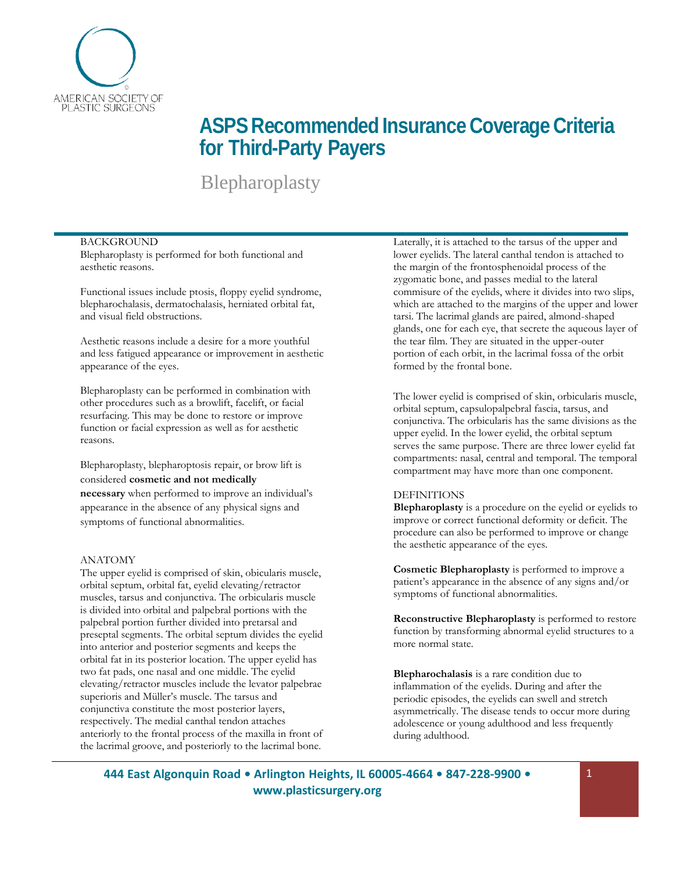

# **ASPS RecommendedInsurance Coverage Criteria for Third-Party Payers**

Blepharoplasty

## BACKGROUND

Blepharoplasty is performed for both functional and aesthetic reasons.

Functional issues include ptosis, floppy eyelid syndrome, blepharochalasis, dermatochalasis, herniated orbital fat, and visual field obstructions.

Aesthetic reasons include a desire for a more youthful and less fatigued appearance or improvement in aesthetic appearance of the eyes.

Blepharoplasty can be performed in combination with other procedures such as a browlift, facelift, or facial resurfacing. This may be done to restore or improve function or facial expression as well as for aesthetic reasons.

Blepharoplasty, blepharoptosis repair, or brow lift is considered **cosmetic and not medically necessary** when performed to improve an individual's appearance in the absence of any physical signs and symptoms of functional abnormalities.

### ANATOMY

The upper eyelid is comprised of skin, obicularis muscle, orbital septum, orbital fat, eyelid elevating/retractor muscles, tarsus and conjunctiva. The orbicularis muscle is divided into orbital and palpebral portions with the palpebral portion further divided into pretarsal and preseptal segments. The orbital septum divides the eyelid into anterior and posterior segments and keeps the orbital fat in its posterior location. The upper eyelid has two fat pads, one nasal and one middle. The eyelid elevating/retractor muscles include the levator palpebrae superioris and Müller's muscle. The tarsus and conjunctiva constitute the most posterior layers, respectively. The medial canthal tendon attaches anteriorly to the frontal process of the maxilla in front of the lacrimal groove, and posteriorly to the lacrimal bone.

Laterally, it is attached to the tarsus of the upper and lower eyelids. The lateral canthal tendon is attached to the margin of the frontosphenoidal process of the zygomatic bone, and passes medial to the lateral commisure of the eyelids, where it divides into two slips, which are attached to the margins of the upper and lower tarsi. The lacrimal glands are paired, almond-shaped glands, one for each eye, that secrete the aqueous layer of the tear film. They are situated in the upper-outer portion of each orbit, in the lacrimal fossa of the orbit formed by the frontal bone.

The lower eyelid is comprised of skin, orbicularis muscle, orbital septum, capsulopalpebral fascia, tarsus, and conjunctiva. The orbicularis has the same divisions as the upper eyelid. In the lower eyelid, the orbital septum serves the same purpose. There are three lower eyelid fat compartments: nasal, central and temporal. The temporal compartment may have more than one component.

### **DEFINITIONS**

**Blepharoplasty** is a procedure on the eyelid or eyelids to improve or correct functional deformity or deficit. The procedure can also be performed to improve or change the aesthetic appearance of the eyes.

**Cosmetic Blepharoplasty** is performed to improve a patient's appearance in the absence of any signs and/or symptoms of functional abnormalities.

**Reconstructive Blepharoplasty** is performed to restore function by transforming abnormal eyelid structures to a more normal state.

**Blepharochalasis** is a rare condition due to inflammation of the eyelids. During and after the periodic episodes, the eyelids can swell and stretch asymmetrically. The disease tends to occur more during adolescence or young adulthood and less frequently during adulthood.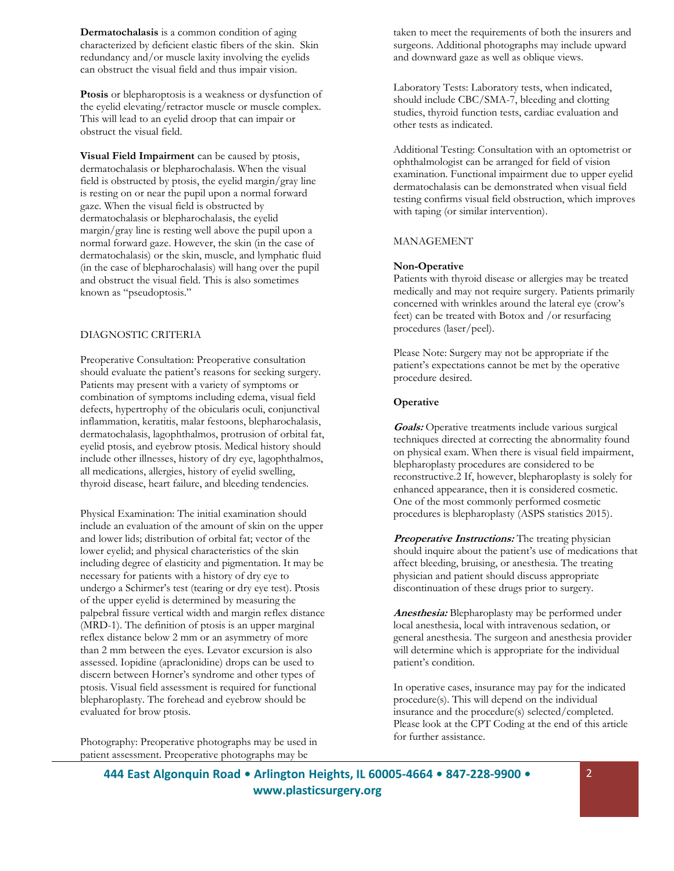**Dermatochalasis** is a common condition of aging characterized by deficient elastic fibers of the skin. Skin redundancy and/or muscle laxity involving the eyelids can obstruct the visual field and thus impair vision.

**Ptosis** or blepharoptosis is a weakness or dysfunction of the eyelid elevating/retractor muscle or muscle complex. This will lead to an eyelid droop that can impair or obstruct the visual field.

**Visual Field Impairment** can be caused by ptosis, dermatochalasis or blepharochalasis. When the visual field is obstructed by ptosis, the eyelid margin/gray line is resting on or near the pupil upon a normal forward gaze. When the visual field is obstructed by dermatochalasis or blepharochalasis, the eyelid margin/gray line is resting well above the pupil upon a normal forward gaze. However, the skin (in the case of dermatochalasis) or the skin, muscle, and lymphatic fluid (in the case of blepharochalasis) will hang over the pupil and obstruct the visual field. This is also sometimes known as "pseudoptosis."

## DIAGNOSTIC CRITERIA

Preoperative Consultation: Preoperative consultation should evaluate the patient's reasons for seeking surgery. Patients may present with a variety of symptoms or combination of symptoms including edema, visual field defects, hypertrophy of the obicularis oculi, conjunctival inflammation, keratitis, malar festoons, blepharochalasis, dermatochalasis, lagophthalmos, protrusion of orbital fat, eyelid ptosis, and eyebrow ptosis. Medical history should include other illnesses, history of dry eye, lagophthalmos, all medications, allergies, history of eyelid swelling, thyroid disease, heart failure, and bleeding tendencies.

Physical Examination: The initial examination should include an evaluation of the amount of skin on the upper and lower lids; distribution of orbital fat; vector of the lower eyelid; and physical characteristics of the skin including degree of elasticity and pigmentation. It may be necessary for patients with a history of dry eye to undergo a Schirmer's test (tearing or dry eye test). Ptosis of the upper eyelid is determined by measuring the palpebral fissure vertical width and margin reflex distance (MRD-1). The definition of ptosis is an upper marginal reflex distance below 2 mm or an asymmetry of more than 2 mm between the eyes. Levator excursion is also assessed. Iopidine (apraclonidine) drops can be used to discern between Horner's syndrome and other types of ptosis. Visual field assessment is required for functional blepharoplasty. The forehead and eyebrow should be evaluated for brow ptosis.

Photography: Preoperative photographs may be used in patient assessment. Preoperative photographs may be

taken to meet the requirements of both the insurers and surgeons. Additional photographs may include upward and downward gaze as well as oblique views.

Laboratory Tests: Laboratory tests, when indicated, should include CBC/SMA-7, bleeding and clotting studies, thyroid function tests, cardiac evaluation and other tests as indicated.

Additional Testing: Consultation with an optometrist or ophthalmologist can be arranged for field of vision examination. Functional impairment due to upper eyelid dermatochalasis can be demonstrated when visual field testing confirms visual field obstruction, which improves with taping (or similar intervention).

### MANAGEMENT

### **Non-Operative**

Patients with thyroid disease or allergies may be treated medically and may not require surgery. Patients primarily concerned with wrinkles around the lateral eye (crow's feet) can be treated with Botox and /or resurfacing procedures (laser/peel).

Please Note: Surgery may not be appropriate if the patient's expectations cannot be met by the operative procedure desired.

### **Operative**

**Goals:** Operative treatments include various surgical techniques directed at correcting the abnormality found on physical exam. When there is visual field impairment, blepharoplasty procedures are considered to be reconstructive.2 If, however, blepharoplasty is solely for enhanced appearance, then it is considered cosmetic. One of the most commonly performed cosmetic procedures is blepharoplasty (ASPS statistics 2015).

**Preoperative Instructions:** The treating physician should inquire about the patient's use of medications that affect bleeding, bruising, or anesthesia. The treating physician and patient should discuss appropriate discontinuation of these drugs prior to surgery.

**Anesthesia:** Blepharoplasty may be performed under local anesthesia, local with intravenous sedation, or general anesthesia. The surgeon and anesthesia provider will determine which is appropriate for the individual patient's condition.

In operative cases, insurance may pay for the indicated procedure(s). This will depend on the individual insurance and the procedure(s) selected/completed. Please look at the CPT Coding at the end of this article for further assistance.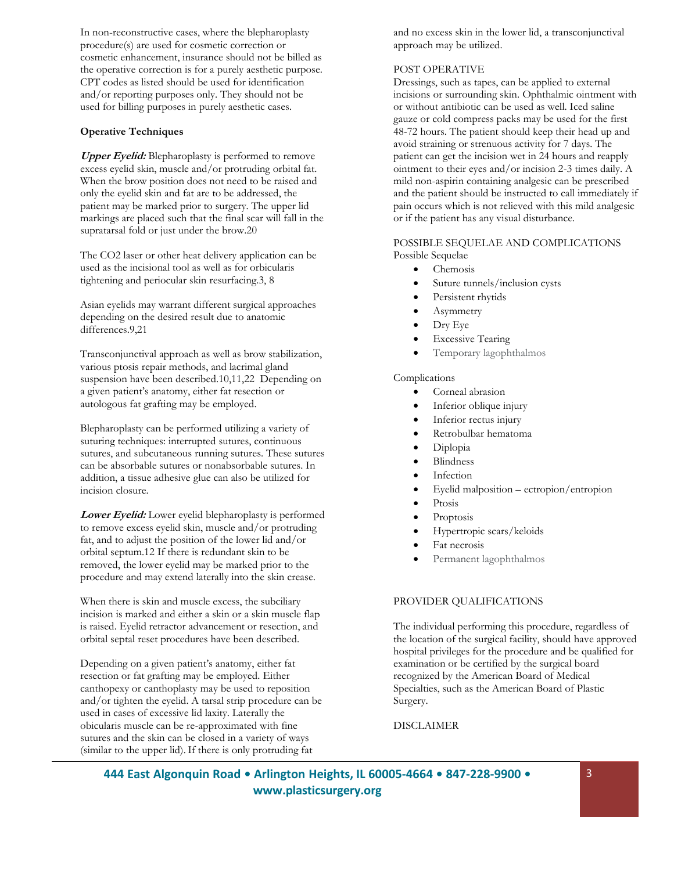In non-reconstructive cases, where the blepharoplasty procedure(s) are used for cosmetic correction or cosmetic enhancement, insurance should not be billed as the operative correction is for a purely aesthetic purpose. CPT codes as listed should be used for identification and/or reporting purposes only. They should not be used for billing purposes in purely aesthetic cases.

## **Operative Techniques**

**Upper Eyelid:** Blepharoplasty is performed to remove excess eyelid skin, muscle and/or protruding orbital fat. When the brow position does not need to be raised and only the eyelid skin and fat are to be addressed, the patient may be marked prior to surgery. The upper lid markings are placed such that the final scar will fall in the supratarsal fold or just under the brow.20

The CO2 laser or other heat delivery application can be used as the incisional tool as well as for orbicularis tightening and periocular skin resurfacing.3, 8

Asian eyelids may warrant different surgical approaches depending on the desired result due to anatomic differences.9,21

Transconjunctival approach as well as brow stabilization, various ptosis repair methods, and lacrimal gland suspension have been described.10,11,22 Depending on a given patient's anatomy, either fat resection or autologous fat grafting may be employed.

Blepharoplasty can be performed utilizing a variety of suturing techniques: interrupted sutures, continuous sutures, and subcutaneous running sutures. These sutures can be absorbable sutures or nonabsorbable sutures. In addition, a tissue adhesive glue can also be utilized for incision closure.

**Lower Eyelid:** Lower eyelid blepharoplasty is performed to remove excess eyelid skin, muscle and/or protruding fat, and to adjust the position of the lower lid and/or orbital septum.12 If there is redundant skin to be removed, the lower eyelid may be marked prior to the procedure and may extend laterally into the skin crease.

When there is skin and muscle excess, the subciliary incision is marked and either a skin or a skin muscle flap is raised. Eyelid retractor advancement or resection, and orbital septal reset procedures have been described.

Depending on a given patient's anatomy, either fat resection or fat grafting may be employed. Either canthopexy or canthoplasty may be used to reposition and/or tighten the eyelid. A tarsal strip procedure can be used in cases of excessive lid laxity. Laterally the obicularis muscle can be re-approximated with fine sutures and the skin can be closed in a variety of ways (similar to the upper lid). If there is only protruding fat

and no excess skin in the lower lid, a transconjunctival approach may be utilized.

## POST OPERATIVE

Dressings, such as tapes, can be applied to external incisions or surrounding skin. Ophthalmic ointment with or without antibiotic can be used as well. Iced saline gauze or cold compress packs may be used for the first 48-72 hours. The patient should keep their head up and avoid straining or strenuous activity for 7 days. The patient can get the incision wet in 24 hours and reapply ointment to their eyes and/or incision 2-3 times daily. A mild non-aspirin containing analgesic can be prescribed and the patient should be instructed to call immediately if pain occurs which is not relieved with this mild analgesic or if the patient has any visual disturbance.

## POSSIBLE SEQUELAE AND COMPLICATIONS Possible Sequelae

- Chemosis
- Suture tunnels/inclusion cysts
- Persistent rhytids
- Asymmetry
- Dry Eye
- **Excessive Tearing**
- Temporary lagophthalmos

## Complications

- Corneal abrasion
- Inferior oblique injury
- Inferior rectus injury
- Retrobulbar hematoma
- Diplopia
- Blindness
- Infection
- Eyelid malposition ectropion/entropion
- Ptosis
- **Proptosis**
- Hypertropic scars/keloids
- Fat necrosis
- Permanent lagophthalmos

## PROVIDER QUALIFICATIONS

The individual performing this procedure, regardless of the location of the surgical facility, should have approved hospital privileges for the procedure and be qualified for examination or be certified by the surgical board recognized by the American Board of Medical Specialties, such as the American Board of Plastic Surgery.

## DISCLAIMER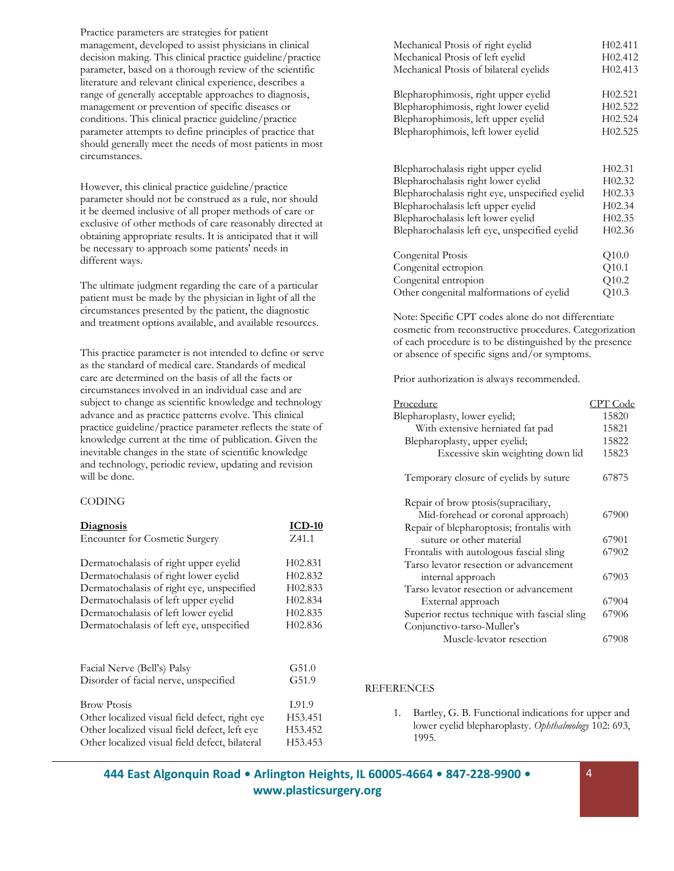Practice parameters are strategies for patient management, developed to assist physicians in clinical decision making. This clinical practice guideline/practice parameter, based on a thorough review of the scientific literature and relevant clinical experience, describes a range of generally acceptable approaches to diagnosis, management or prevention of specific diseases or conditions. This clinical practice guideline/practice parameter attempts to define principles of practice that should generally meet the needs of most patients in most circumstances.

However, this clinical practice guideline/practice parameter should not be construed as a rule, nor should it be deemed inclusive of all proper methods of care or exclusive of other methods of care reasonably directed at obtaining appropriate results. It is anticipated that it will be necessary to approach some patients' needs in different ways.

The ultimate judgment regarding the care of a particular patient must be made by the physician in light of all the circumstances presented by the patient, the diagnostic and treatment options available, and available resources.

This practice parameter is not intended to define or serve as the standard of medical care. Standards of medical care are determined on the basis of all the facts or circumstances involved in an individual case and are subject to change as scientific knowledge and technology advance and as practice patterns evolve. This clinical practice guideline/practice parameter reflects the state of knowledge current at the time of publication. Given the inevitable changes in the state of scientific knowledge and technology, periodic review, updating and revision will be done.

## CODING

| <b>Diagnosis</b>                               | $ICD-10$             |
|------------------------------------------------|----------------------|
| <b>Encounter for Cosmetic Surgery</b>          | Z41.1                |
| Dermatochalasis of right upper eyelid          | H <sub>0</sub> 2.831 |
| Dermatochalasis of right lower eyelid          | H <sub>0</sub> 2.832 |
| Dermatochalasis of right eye, unspecified      | H <sub>0</sub> 2.833 |
| Dermatochalasis of left upper eyelid           | H <sub>0</sub> 2.834 |
| Dermatochalasis of left lower eyelid           | H <sub>0</sub> 2.835 |
| Dermatochalasis of left eye, unspecified       | H <sub>0</sub> 2.836 |
|                                                |                      |
| Facial Nerve (Bell's) Palsy                    | G51.0                |
| Disorder of facial nerve, unspecified          | G51.9                |
| <b>Brow Ptosis</b>                             | L91.9                |
| Other localized visual field defect, right eye | H <sub>53</sub> .451 |
| Other localized visual field defect, left eye  | H53.452              |
| Other localized visual field defect, bilateral | H53.453              |

| Mechanical Ptosis of right eyelid<br>Mechanical Ptosis of left eyelid<br>Mechanical Ptosis of bilateral eyelids                                                                                                                                           | H <sub>0</sub> 2.411<br>H <sub>0</sub> 2.412<br>H <sub>0</sub> 2.413                                                    |
|-----------------------------------------------------------------------------------------------------------------------------------------------------------------------------------------------------------------------------------------------------------|-------------------------------------------------------------------------------------------------------------------------|
| Blepharophimosis, right upper eyelid<br>Blepharophimosis, right lower eyelid                                                                                                                                                                              | H <sub>0</sub> 2.521<br>H <sub>0</sub> 2.522                                                                            |
| Blepharophimosis, left upper eyelid                                                                                                                                                                                                                       | H <sub>0</sub> 2.524                                                                                                    |
| Blepharophimois, left lower eyelid                                                                                                                                                                                                                        | H02.525                                                                                                                 |
| Blepharochalasis right upper eyelid<br>Blepharochalasis right lower eyelid<br>Blepharochalasis right eye, unspecified eyelid<br>Blepharochalasis left upper eyelid<br>Blepharochalasis left lower eyelid<br>Blepharochalasis left eye, unspecified eyelid | H <sub>02.31</sub><br>H <sub>02.32</sub><br>H02.33<br>H <sub>0</sub> 2.34<br>H <sub>0</sub> 2.35<br>H <sub>0</sub> 2.36 |
| Congenital Ptosis<br>Congenital ectropion<br>Congenital entropion<br>Other congenital malformations of eyelid                                                                                                                                             | Q10.0<br>Q10.1<br>Q10.2<br>Q10.3                                                                                        |

Note: Specific CPT codes alone do not differentiate cosmetic from reconstructive procedures. Categorization of each procedure is to be distinguished by the presence or absence of specific signs and/or symptoms.

Prior authorization is always recommended.

| Procedure                                    | CPT Code |
|----------------------------------------------|----------|
| Blepharoplasty, lower eyelid;                | 15820    |
| With extensive herniated fat pad             | 15821    |
| Blepharoplasty, upper eyelid;                | 15822    |
| Excessive skin weighting down lid            | 15823    |
| Temporary closure of eyelids by suture       | 67875    |
| Repair of brow ptosis (supraciliary,         |          |
| Mid-forehead or coronal approach)            | 67900    |
| Repair of blepharoptosis; frontalis with     |          |
| suture or other material                     | 67901    |
| Frontalis with autologous fascial sling      | 67902    |
| Tarso levator resection or advancement       |          |
| internal approach                            | 67903    |
| Tarso levator resection or advancement       |          |
| External approach                            | 67904    |
| Superior rectus technique with fascial sling | 67906    |
| Conjunctivo-tarso-Muller's                   |          |
| Muscle-levator resection                     | 67908    |
|                                              |          |

#### REFERENCES

1. Bartley, G. B. Functional indications for upper and lower eyelid blepharoplasty. *Ophthalmology* 102: 693, 1995.